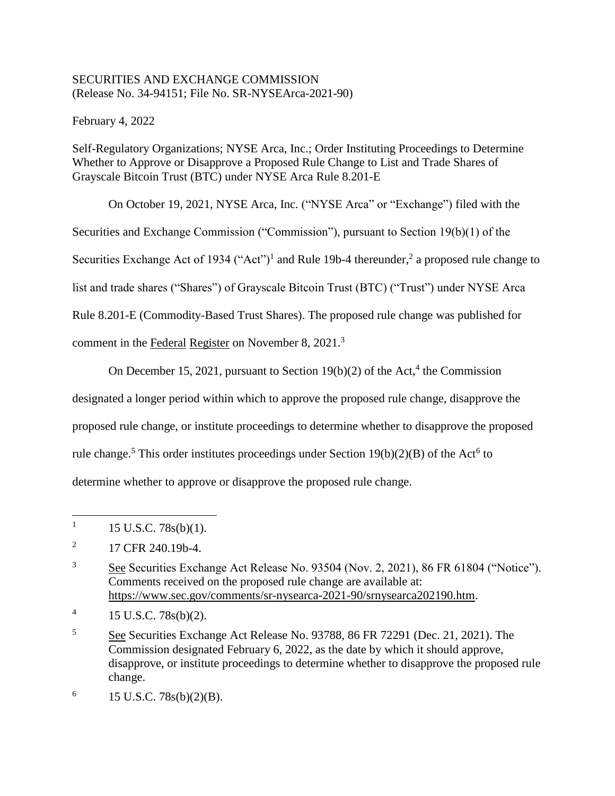# SECURITIES AND EXCHANGE COMMISSION (Release No. 34-94151; File No. SR-NYSEArca-2021-90)

February 4, 2022

Self-Regulatory Organizations; NYSE Arca, Inc.; Order Instituting Proceedings to Determine Whether to Approve or Disapprove a Proposed Rule Change to List and Trade Shares of Grayscale Bitcoin Trust (BTC) under NYSE Arca Rule 8.201-E

On October 19, 2021, NYSE Arca, Inc. ("NYSE Arca" or "Exchange") filed with the Securities and Exchange Commission ("Commission"), pursuant to Section 19(b)(1) of the Securities Exchange Act of 1934 ("Act")<sup>1</sup> and Rule 19b-4 thereunder,<sup>2</sup> a proposed rule change to list and trade shares ("Shares") of Grayscale Bitcoin Trust (BTC) ("Trust") under NYSE Arca Rule 8.201-E (Commodity-Based Trust Shares). The proposed rule change was published for comment in the Federal Register on November 8, 2021.<sup>3</sup>

On December 15, 2021, pursuant to Section  $19(b)(2)$  of the Act,<sup>4</sup> the Commission

designated a longer period within which to approve the proposed rule change, disapprove the

proposed rule change, or institute proceedings to determine whether to disapprove the proposed

rule change.<sup>5</sup> This order institutes proceedings under Section  $19(b)(2)(B)$  of the Act<sup>6</sup> to

determine whether to approve or disapprove the proposed rule change.

<sup>1</sup> 15 U.S.C. 78s(b)(1).

<sup>2</sup> 17 CFR 240.19b-4.

<sup>&</sup>lt;sup>3</sup> See Securities Exchange Act Release No. 93504 (Nov. 2, 2021), 86 FR 61804 ("Notice"). Comments received on the proposed rule change are available at: https://www.sec.gov/comments/sr-nysearca-2021-90/srnysearca202190.htm.

<sup>4</sup> 15 U.S.C. 78s(b)(2).

<sup>5</sup> See Securities Exchange Act Release No. 93788, 86 FR 72291 (Dec. 21, 2021). The Commission designated February 6, 2022, as the date by which it should approve, disapprove, or institute proceedings to determine whether to disapprove the proposed rule change.

<sup>6</sup> 15 U.S.C. 78s(b)(2)(B).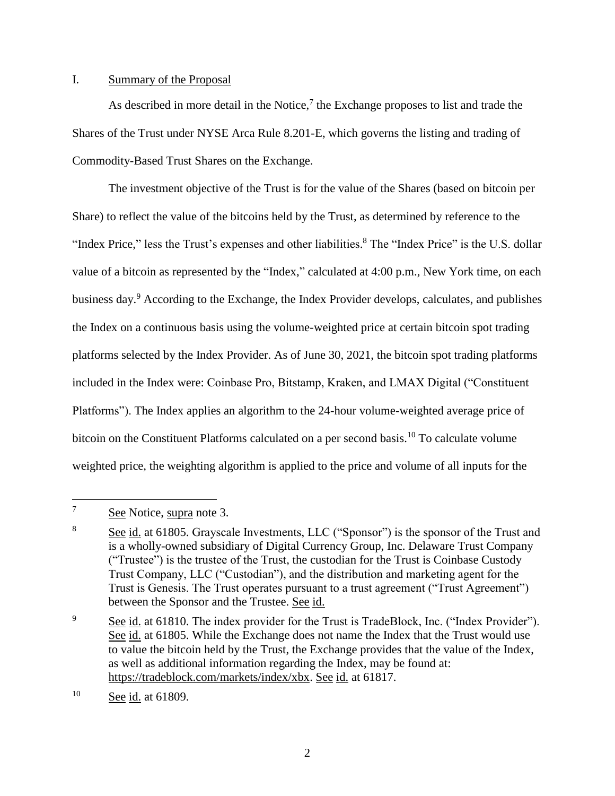## I. Summary of the Proposal

As described in more detail in the Notice, $\frac{7}{1}$  the Exchange proposes to list and trade the Shares of the Trust under NYSE Arca Rule 8.201-E, which governs the listing and trading of Commodity-Based Trust Shares on the Exchange.

The investment objective of the Trust is for the value of the Shares (based on bitcoin per Share) to reflect the value of the bitcoins held by the Trust, as determined by reference to the "Index Price," less the Trust's expenses and other liabilities.<sup>8</sup> The "Index Price" is the U.S. dollar value of a bitcoin as represented by the "Index," calculated at 4:00 p.m., New York time, on each business day.<sup>9</sup> According to the Exchange, the Index Provider develops, calculates, and publishes the Index on a continuous basis using the volume-weighted price at certain bitcoin spot trading platforms selected by the Index Provider. As of June 30, 2021, the bitcoin spot trading platforms included in the Index were: Coinbase Pro, Bitstamp, Kraken, and LMAX Digital ("Constituent Platforms"). The Index applies an algorithm to the 24-hour volume-weighted average price of bitcoin on the Constituent Platforms calculated on a per second basis.<sup>10</sup> To calculate volume weighted price, the weighting algorithm is applied to the price and volume of all inputs for the

 $\overline{7}$ See Notice, supra note 3.

<sup>&</sup>lt;sup>8</sup> See id. at 61805. Grayscale Investments, LLC ("Sponsor") is the sponsor of the Trust and is a wholly-owned subsidiary of Digital Currency Group, Inc. Delaware Trust Company ("Trustee") is the trustee of the Trust, the custodian for the Trust is Coinbase Custody Trust Company, LLC ("Custodian"), and the distribution and marketing agent for the Trust is Genesis. The Trust operates pursuant to a trust agreement ("Trust Agreement") between the Sponsor and the Trustee. See id.

<sup>&</sup>lt;sup>9</sup> See id. at 61810. The index provider for the Trust is TradeBlock, Inc. ("Index Provider"). See id. at 61805. While the Exchange does not name the Index that the Trust would use to value the bitcoin held by the Trust, the Exchange provides that the value of the Index, as well as additional information regarding the Index, may be found at: https://tradeblock.com/markets/index/xbx. See id. at 61817.

 $10$  See id. at 61809.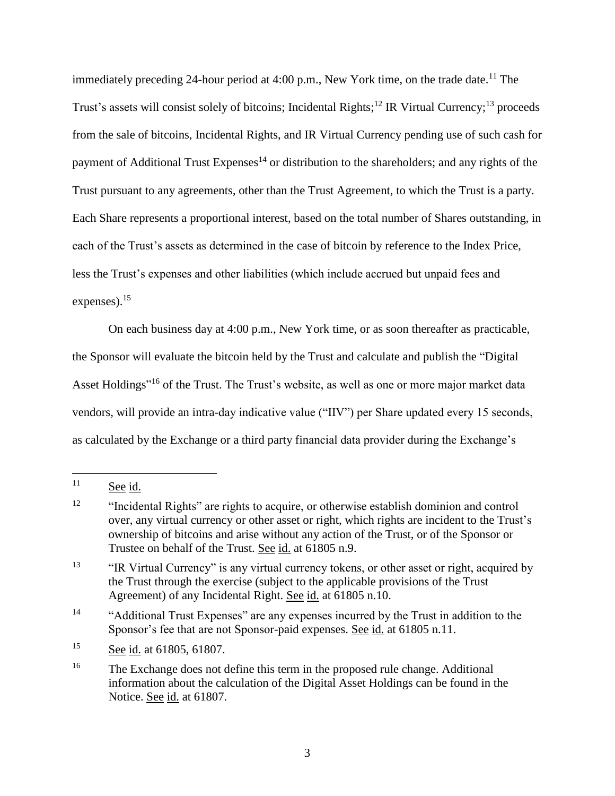immediately preceding 24-hour period at 4:00 p.m., New York time, on the trade date.<sup>11</sup> The Trust's assets will consist solely of bitcoins; Incidental Rights;<sup>12</sup> IR Virtual Currency;<sup>13</sup> proceeds from the sale of bitcoins, Incidental Rights, and IR Virtual Currency pending use of such cash for payment of Additional Trust Expenses<sup>14</sup> or distribution to the shareholders; and any rights of the Trust pursuant to any agreements, other than the Trust Agreement, to which the Trust is a party. Each Share represents a proportional interest, based on the total number of Shares outstanding, in each of the Trust's assets as determined in the case of bitcoin by reference to the Index Price, less the Trust's expenses and other liabilities (which include accrued but unpaid fees and expenses). $15$ 

On each business day at 4:00 p.m., New York time, or as soon thereafter as practicable, the Sponsor will evaluate the bitcoin held by the Trust and calculate and publish the "Digital Asset Holdings"<sup>16</sup> of the Trust. The Trust's website, as well as one or more major market data vendors, will provide an intra-day indicative value ("IIV") per Share updated every 15 seconds, as calculated by the Exchange or a third party financial data provider during the Exchange's

 $11$  See id.

<sup>&</sup>lt;sup>12</sup> "Incidental Rights" are rights to acquire, or otherwise establish dominion and control over, any virtual currency or other asset or right, which rights are incident to the Trust's ownership of bitcoins and arise without any action of the Trust, or of the Sponsor or Trustee on behalf of the Trust. See id. at 61805 n.9.

<sup>&</sup>lt;sup>13</sup> "IR Virtual Currency" is any virtual currency tokens, or other asset or right, acquired by the Trust through the exercise (subject to the applicable provisions of the Trust Agreement) of any Incidental Right. See id. at 61805 n.10.

<sup>&</sup>lt;sup>14</sup> "Additional Trust Expenses" are any expenses incurred by the Trust in addition to the Sponsor's fee that are not Sponsor-paid expenses. See id. at 61805 n.11.

<sup>15</sup> See id. at 61805, 61807.

<sup>&</sup>lt;sup>16</sup> The Exchange does not define this term in the proposed rule change. Additional information about the calculation of the Digital Asset Holdings can be found in the Notice. See id. at 61807.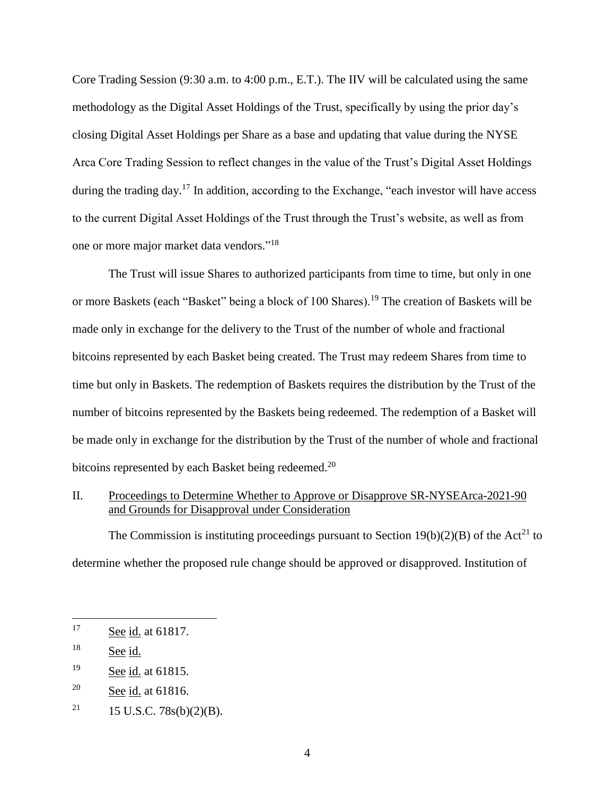Core Trading Session (9:30 a.m. to 4:00 p.m., E.T.). The IIV will be calculated using the same methodology as the Digital Asset Holdings of the Trust, specifically by using the prior day's closing Digital Asset Holdings per Share as a base and updating that value during the NYSE Arca Core Trading Session to reflect changes in the value of the Trust's Digital Asset Holdings during the trading day.<sup>17</sup> In addition, according to the Exchange, "each investor will have access" to the current Digital Asset Holdings of the Trust through the Trust's website, as well as from one or more major market data vendors."<sup>18</sup>

The Trust will issue Shares to authorized participants from time to time, but only in one or more Baskets (each "Basket" being a block of 100 Shares).<sup>19</sup> The creation of Baskets will be made only in exchange for the delivery to the Trust of the number of whole and fractional bitcoins represented by each Basket being created. The Trust may redeem Shares from time to time but only in Baskets. The redemption of Baskets requires the distribution by the Trust of the number of bitcoins represented by the Baskets being redeemed. The redemption of a Basket will be made only in exchange for the distribution by the Trust of the number of whole and fractional bitcoins represented by each Basket being redeemed.<sup>20</sup>

II. Proceedings to Determine Whether to Approve or Disapprove SR-NYSEArca-2021-90 and Grounds for Disapproval under Consideration

The Commission is instituting proceedings pursuant to Section  $19(b)(2)(B)$  of the Act<sup>21</sup> to determine whether the proposed rule change should be approved or disapproved. Institution of

<sup>17</sup> See id. at 61817.

<sup>&</sup>lt;sup>18</sup> See id.

<sup>19</sup> See id. at 61815.

<sup>20</sup> See id. at 61816.

<sup>&</sup>lt;sup>21</sup> 15 U.S.C. 78s(b)(2)(B).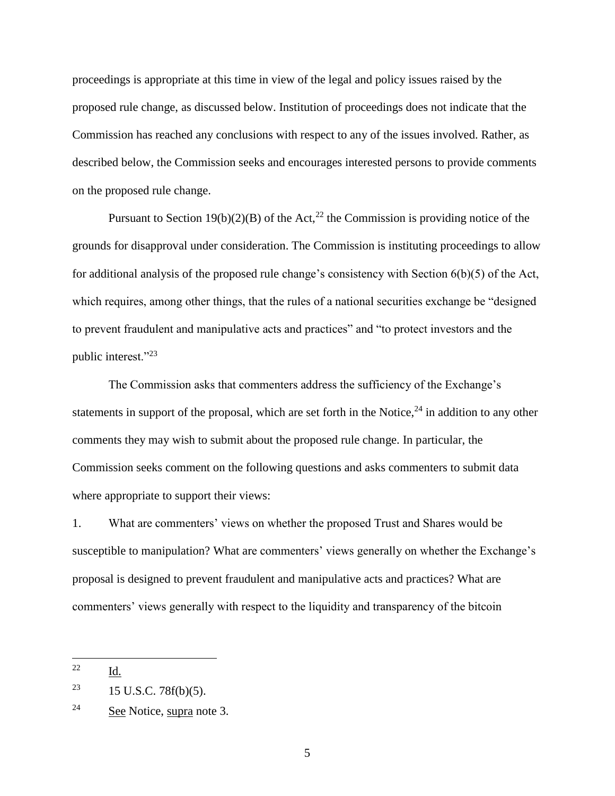proceedings is appropriate at this time in view of the legal and policy issues raised by the proposed rule change, as discussed below. Institution of proceedings does not indicate that the Commission has reached any conclusions with respect to any of the issues involved. Rather, as described below, the Commission seeks and encourages interested persons to provide comments on the proposed rule change.

Pursuant to Section 19(b)(2)(B) of the Act,<sup>22</sup> the Commission is providing notice of the grounds for disapproval under consideration. The Commission is instituting proceedings to allow for additional analysis of the proposed rule change's consistency with Section 6(b)(5) of the Act, which requires, among other things, that the rules of a national securities exchange be "designed to prevent fraudulent and manipulative acts and practices" and "to protect investors and the public interest."<sup>23</sup>

The Commission asks that commenters address the sufficiency of the Exchange's statements in support of the proposal, which are set forth in the Notice,  $24$  in addition to any other comments they may wish to submit about the proposed rule change. In particular, the Commission seeks comment on the following questions and asks commenters to submit data where appropriate to support their views:

1. What are commenters' views on whether the proposed Trust and Shares would be susceptible to manipulation? What are commenters' views generally on whether the Exchange's proposal is designed to prevent fraudulent and manipulative acts and practices? What are commenters' views generally with respect to the liquidity and transparency of the bitcoin

<sup>22</sup> Id.

<sup>&</sup>lt;sup>23</sup> 15 U.S.C. 78 $f(b)(5)$ .

 $24$  See Notice, supra note 3.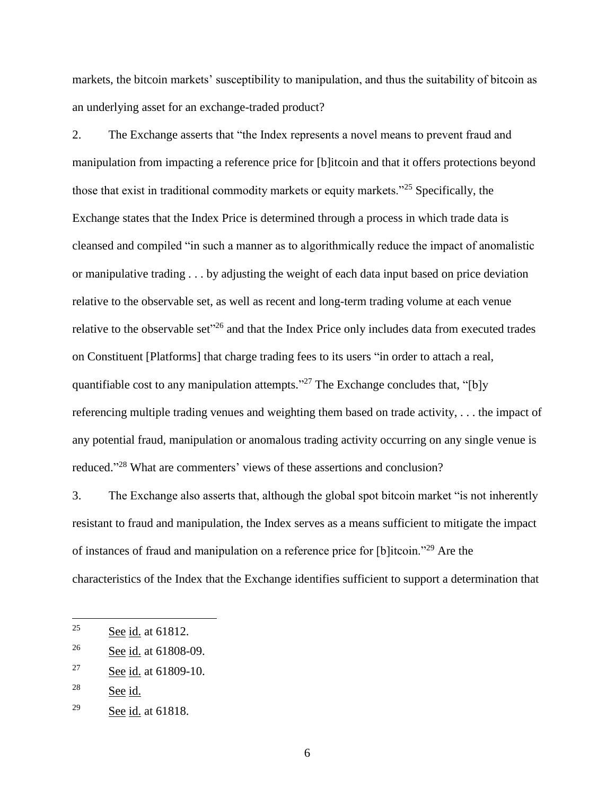markets, the bitcoin markets' susceptibility to manipulation, and thus the suitability of bitcoin as an underlying asset for an exchange-traded product?

2. The Exchange asserts that "the Index represents a novel means to prevent fraud and manipulation from impacting a reference price for [b]itcoin and that it offers protections beyond those that exist in traditional commodity markets or equity markets."<sup>25</sup> Specifically, the Exchange states that the Index Price is determined through a process in which trade data is cleansed and compiled "in such a manner as to algorithmically reduce the impact of anomalistic or manipulative trading . . . by adjusting the weight of each data input based on price deviation relative to the observable set, as well as recent and long-term trading volume at each venue relative to the observable set<sup>326</sup> and that the Index Price only includes data from executed trades on Constituent [Platforms] that charge trading fees to its users "in order to attach a real, quantifiable cost to any manipulation attempts."<sup>27</sup> The Exchange concludes that, "[b]y referencing multiple trading venues and weighting them based on trade activity, . . . the impact of any potential fraud, manipulation or anomalous trading activity occurring on any single venue is reduced."<sup>28</sup> What are commenters' views of these assertions and conclusion?

3. The Exchange also asserts that, although the global spot bitcoin market "is not inherently resistant to fraud and manipulation, the Index serves as a means sufficient to mitigate the impact of instances of fraud and manipulation on a reference price for [b]itcoin."<sup>29</sup> Are the characteristics of the Index that the Exchange identifies sufficient to support a determination that

 $25$  See id. at 61812.

<sup>26</sup> See id. at 61808-09.

<sup>27</sup> See id. at 61809-10.

 $28$  See id.

<sup>29</sup> See id. at 61818.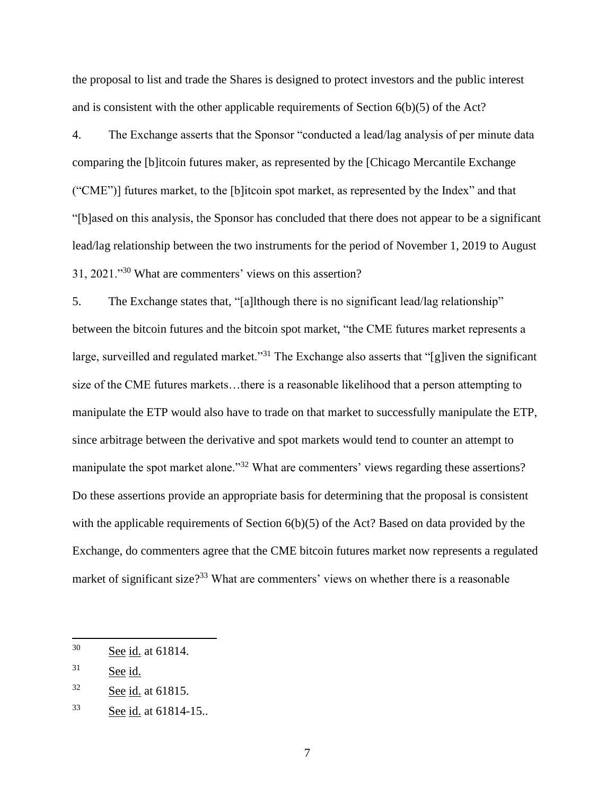the proposal to list and trade the Shares is designed to protect investors and the public interest and is consistent with the other applicable requirements of Section 6(b)(5) of the Act?

4. The Exchange asserts that the Sponsor "conducted a lead/lag analysis of per minute data comparing the [b]itcoin futures maker, as represented by the [Chicago Mercantile Exchange ("CME")] futures market, to the [b]itcoin spot market, as represented by the Index" and that "[b]ased on this analysis, the Sponsor has concluded that there does not appear to be a significant lead/lag relationship between the two instruments for the period of November 1, 2019 to August 31, 2021."<sup>30</sup> What are commenters' views on this assertion?

5. The Exchange states that, "[a]lthough there is no significant lead/lag relationship" between the bitcoin futures and the bitcoin spot market, "the CME futures market represents a large, surveilled and regulated market."<sup>31</sup> The Exchange also asserts that "[g]iven the significant size of the CME futures markets…there is a reasonable likelihood that a person attempting to manipulate the ETP would also have to trade on that market to successfully manipulate the ETP, since arbitrage between the derivative and spot markets would tend to counter an attempt to manipulate the spot market alone."<sup>32</sup> What are commenters' views regarding these assertions? Do these assertions provide an appropriate basis for determining that the proposal is consistent with the applicable requirements of Section 6(b)(5) of the Act? Based on data provided by the Exchange, do commenters agree that the CME bitcoin futures market now represents a regulated market of significant size?<sup>33</sup> What are commenters' views on whether there is a reasonable

<sup>30</sup> See id. at 61814.

<sup>31</sup> See id.

<sup>32</sup> See id. at 61815.

<sup>33</sup> See id. at 61814-15..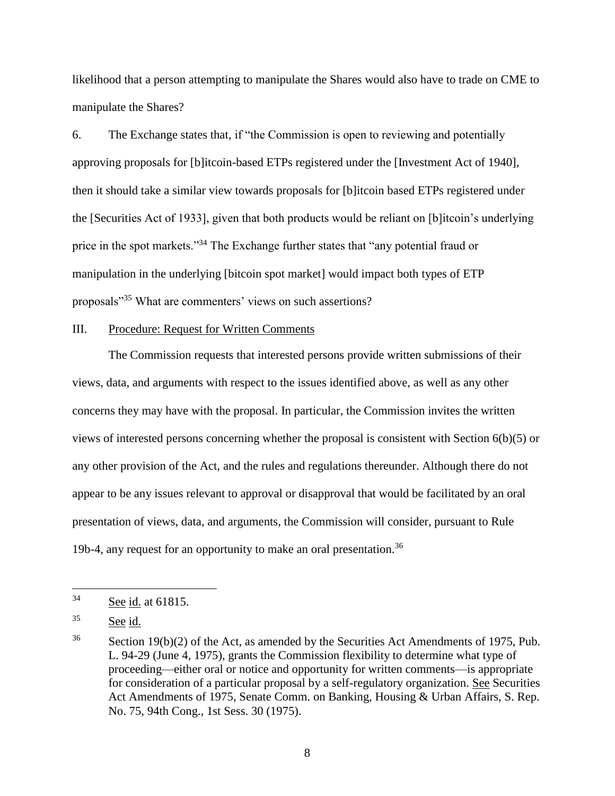likelihood that a person attempting to manipulate the Shares would also have to trade on CME to manipulate the Shares?

6. The Exchange states that, if "the Commission is open to reviewing and potentially approving proposals for [b]itcoin-based ETPs registered under the [Investment Act of 1940], then it should take a similar view towards proposals for [b]itcoin based ETPs registered under the [Securities Act of 1933], given that both products would be reliant on [b]itcoin's underlying price in the spot markets."<sup>34</sup> The Exchange further states that "any potential fraud or manipulation in the underlying [bitcoin spot market] would impact both types of ETP proposals"<sup>35</sup> What are commenters' views on such assertions?

## III. Procedure: Request for Written Comments

The Commission requests that interested persons provide written submissions of their views, data, and arguments with respect to the issues identified above, as well as any other concerns they may have with the proposal. In particular, the Commission invites the written views of interested persons concerning whether the proposal is consistent with Section 6(b)(5) or any other provision of the Act, and the rules and regulations thereunder. Although there do not appear to be any issues relevant to approval or disapproval that would be facilitated by an oral presentation of views, data, and arguments, the Commission will consider, pursuant to Rule 19b-4, any request for an opportunity to make an oral presentation.<sup>36</sup>

<sup>34</sup> See id. at 61815.

 $35$  See id.

 $36$  Section 19(b)(2) of the Act, as amended by the Securities Act Amendments of 1975, Pub. L. 94-29 (June 4, 1975), grants the Commission flexibility to determine what type of proceeding—either oral or notice and opportunity for written comments—is appropriate for consideration of a particular proposal by a self-regulatory organization. See Securities Act Amendments of 1975, Senate Comm. on Banking, Housing & Urban Affairs, S. Rep. No. 75, 94th Cong., 1st Sess. 30 (1975).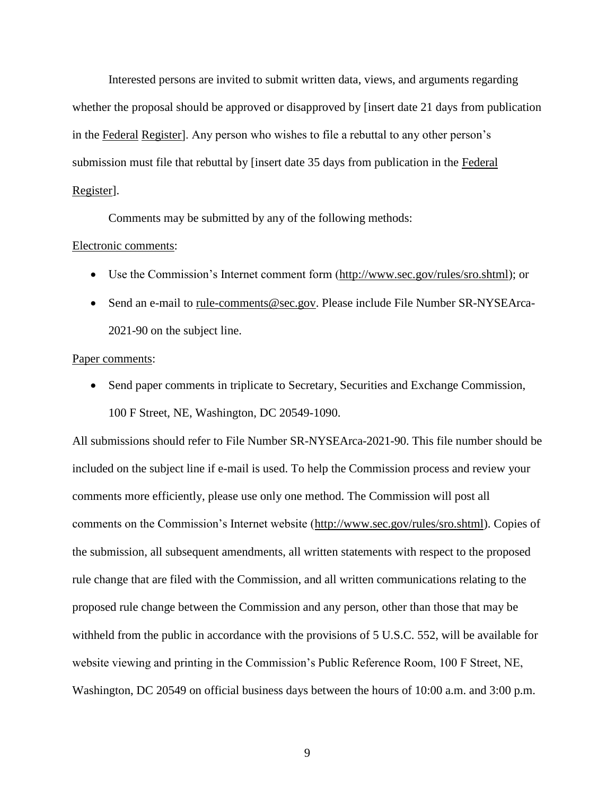Interested persons are invited to submit written data, views, and arguments regarding whether the proposal should be approved or disapproved by [insert date 21 days from publication in the Federal Register]. Any person who wishes to file a rebuttal to any other person's submission must file that rebuttal by [insert date 35 days from publication in the Federal Register].

Comments may be submitted by any of the following methods:

#### Electronic comments:

- Use the Commission's Internet comment form (http://www.sec.gov/rules/sro.shtml); or
- Send an e-mail to rule-comments@sec.gov. Please include File Number SR-NYSEArca-2021-90 on the subject line.

#### Paper comments:

• Send paper comments in triplicate to Secretary, Securities and Exchange Commission, 100 F Street, NE, Washington, DC 20549-1090.

All submissions should refer to File Number SR-NYSEArca-2021-90. This file number should be included on the subject line if e-mail is used. To help the Commission process and review your comments more efficiently, please use only one method. The Commission will post all comments on the Commission's Internet website (http://www.sec.gov/rules/sro.shtml). Copies of the submission, all subsequent amendments, all written statements with respect to the proposed rule change that are filed with the Commission, and all written communications relating to the proposed rule change between the Commission and any person, other than those that may be withheld from the public in accordance with the provisions of 5 U.S.C. 552, will be available for website viewing and printing in the Commission's Public Reference Room, 100 F Street, NE, Washington, DC 20549 on official business days between the hours of 10:00 a.m. and 3:00 p.m.

9